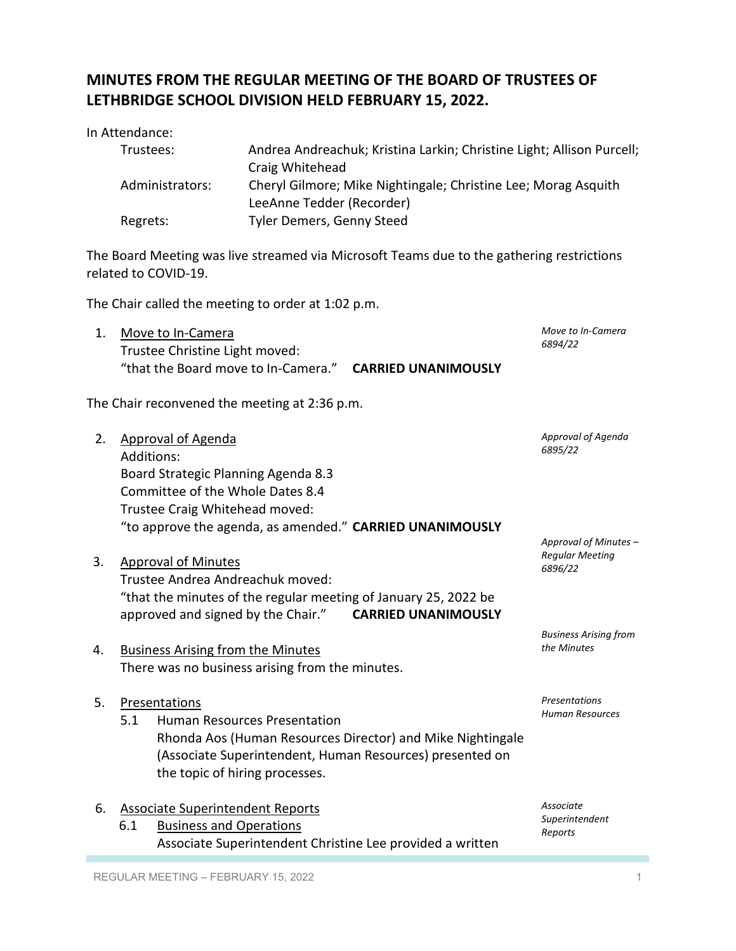## **MINUTES FROM THE REGULAR MEETING OF THE BOARD OF TRUSTEES OF LETHBRIDGE SCHOOL DIVISION HELD FEBRUARY 15, 2022.**

In Attendance:

| Trustees:       | Andrea Andreachuk; Kristina Larkin; Christine Light; Allison Purcell; |
|-----------------|-----------------------------------------------------------------------|
|                 | Craig Whitehead                                                       |
| Administrators: | Cheryl Gilmore; Mike Nightingale; Christine Lee; Morag Asquith        |
|                 | LeeAnne Tedder (Recorder)                                             |
| Regrets:        | Tyler Demers, Genny Steed                                             |

The Board Meeting was live streamed via Microsoft Teams due to the gathering restrictions related to COVID-19.

The Chair called the meeting to order at 1:02 p.m.

| Move to In-Camera                   |                            | Move to In-Camera |
|-------------------------------------|----------------------------|-------------------|
| Trustee Christine Light moved:      |                            | 6894/22           |
| "that the Board move to In-Camera." | <b>CARRIED UNANIMOUSLY</b> |                   |

The Chair reconvened the meeting at 2:36 p.m.

| 2. | Approval of Agenda                                                                                                                                                                                    | Approval of Agenda                                  |
|----|-------------------------------------------------------------------------------------------------------------------------------------------------------------------------------------------------------|-----------------------------------------------------|
|    | Additions:                                                                                                                                                                                            | 6895/22                                             |
|    | Board Strategic Planning Agenda 8.3                                                                                                                                                                   |                                                     |
|    | Committee of the Whole Dates 8.4                                                                                                                                                                      |                                                     |
|    | Trustee Craig Whitehead moved:                                                                                                                                                                        |                                                     |
|    | "to approve the agenda, as amended." CARRIED UNANIMOUSLY                                                                                                                                              |                                                     |
| 3. | <b>Approval of Minutes</b><br>Trustee Andrea Andreachuk moved:<br>"that the minutes of the regular meeting of January 25, 2022 be<br>approved and signed by the Chair."<br><b>CARRIED UNANIMOUSLY</b> | Approval of Minutes -<br>Regular Meeting<br>6896/22 |
|    |                                                                                                                                                                                                       |                                                     |
| 4. | <b>Business Arising from the Minutes</b>                                                                                                                                                              | <b>Business Arising from</b><br>the Minutes         |
|    | There was no business arising from the minutes.                                                                                                                                                       |                                                     |
| 5. | Presentations                                                                                                                                                                                         | Presentations<br><b>Human Resources</b>             |
|    | E 4 - Human Bassusses Brocentetian                                                                                                                                                                    |                                                     |

5.1 Human Resources Presentation Rhonda Aos (Human Resources Director) and Mike Nightingale (Associate Superintendent, Human Resources) presented on the topic of hiring processes.

| 6. Associate Superintendent Reports |                                                           |  |
|-------------------------------------|-----------------------------------------------------------|--|
|                                     | 6.1 Business and Operations                               |  |
|                                     | Associate Superintendent Christine Lee provided a written |  |

*Associate Superintendent Reports*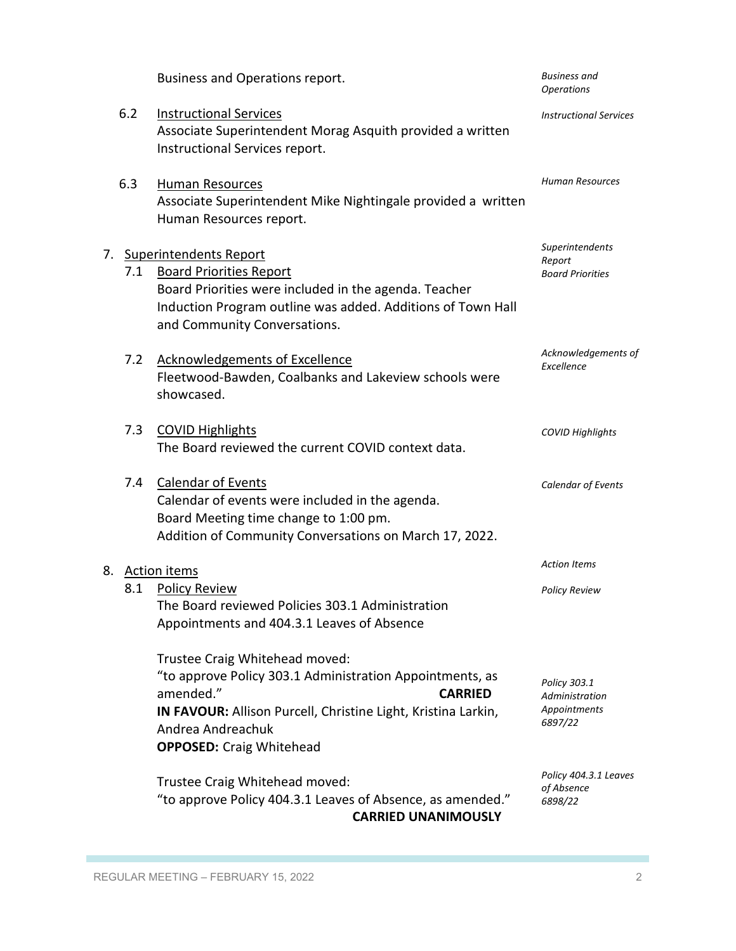|    |     | Business and Operations report.                                                                                                                                                                                                                    | <b>Business</b> and<br><b>Operations</b>                  |
|----|-----|----------------------------------------------------------------------------------------------------------------------------------------------------------------------------------------------------------------------------------------------------|-----------------------------------------------------------|
|    | 6.2 | <b>Instructional Services</b><br>Associate Superintendent Morag Asquith provided a written<br>Instructional Services report.                                                                                                                       | <b>Instructional Services</b>                             |
|    | 6.3 | Human Resources<br>Associate Superintendent Mike Nightingale provided a written<br>Human Resources report.                                                                                                                                         | <b>Human Resources</b>                                    |
| 7. | 7.1 | <b>Superintendents Report</b><br><b>Board Priorities Report</b><br>Board Priorities were included in the agenda. Teacher<br>Induction Program outline was added. Additions of Town Hall<br>and Community Conversations.                            | Superintendents<br>Report<br><b>Board Priorities</b>      |
|    | 7.2 | Acknowledgements of Excellence<br>Fleetwood-Bawden, Coalbanks and Lakeview schools were<br>showcased.                                                                                                                                              | Acknowledgements of<br>Excellence                         |
|    | 7.3 | <b>COVID Highlights</b><br>The Board reviewed the current COVID context data.                                                                                                                                                                      | <b>COVID Highlights</b>                                   |
|    | 7.4 | <b>Calendar of Events</b><br>Calendar of events were included in the agenda.<br>Board Meeting time change to 1:00 pm.<br>Addition of Community Conversations on March 17, 2022.                                                                    | Calendar of Events                                        |
|    |     | 8. Action items                                                                                                                                                                                                                                    | <b>Action Items</b>                                       |
|    | 8.1 | <b>Policy Review</b><br>The Board reviewed Policies 303.1 Administration<br>Appointments and 404.3.1 Leaves of Absence                                                                                                                             | <b>Policy Review</b>                                      |
|    |     | Trustee Craig Whitehead moved:<br>"to approve Policy 303.1 Administration Appointments, as<br>amended."<br><b>CARRIED</b><br>IN FAVOUR: Allison Purcell, Christine Light, Kristina Larkin,<br>Andrea Andreachuk<br><b>OPPOSED:</b> Craig Whitehead | Policy 303.1<br>Administration<br>Appointments<br>6897/22 |
|    |     | Trustee Craig Whitehead moved:<br>"to approve Policy 404.3.1 Leaves of Absence, as amended."<br><b>CARRIED UNANIMOUSLY</b>                                                                                                                         | Policy 404.3.1 Leaves<br>of Absence<br>6898/22            |

п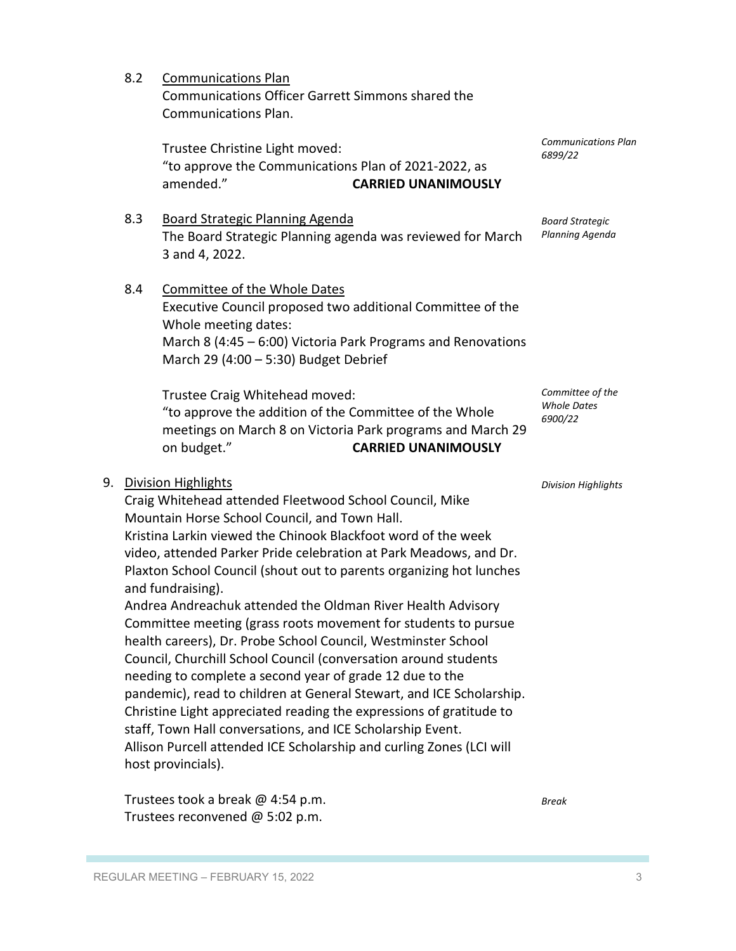REGULAR MEETING – FEBRUARY 15, 2022 3

Trustees took a break @ 4:54 p.m. Trustees reconvened @ 5:02 p.m.

host provincials).

March 29 (4:00 – 5:30) Budget Debrief Trustee Craig Whitehead moved: "to approve the addition of the Committee of the Whole meetings on March 8 on Victoria Park programs and March 29 on budget." **CARRIED UNANIMOUSLY** 9. Division Highlights Craig Whitehead attended Fleetwood School Council, Mike Mountain Horse School Council, and Town Hall. Kristina Larkin viewed the Chinook Blackfoot word of the week video, attended Parker Pride celebration at Park Meadows, and Dr. Plaxton School Council (shout out to parents organizing hot lunches and fundraising). Andrea Andreachuk attended the Oldman River Health Advisory Committee meeting (grass roots movement for students to pursue health careers), Dr. Probe School Council, Westminster School Council, Churchill School Council (conversation around students needing to complete a second year of grade 12 due to the pandemic), read to children at General Stewart, and ICE Scholarship. Christine Light appreciated reading the expressions of gratitude to staff, Town Hall conversations, and ICE Scholarship Event. Allison Purcell attended ICE Scholarship and curling Zones (LCI will *Committee of the* 

8.4 Committee of the Whole Dates Whole meeting dates:

Executive Council proposed two additional Committee of the March 8 (4:45 – 6:00) Victoria Park Programs and Renovations

## "to approve the Communications Plan of 2021-2022, as amended." **CARRIED UNANIMOUSLY**

8.3 Board Strategic Planning Agenda The Board Strategic Planning agenda was reviewed for March 3 and 4, 2022.

## 8.2 Communications Plan

Trustee Christine Light moved:

Communications Officer Garrett Simmons shared the Communications Plan.

> *Communications Plan 6899/22*

*Board Strategic Planning Agenda*

*Whole Dates 6900/22*

*Division Highlights*

*Break*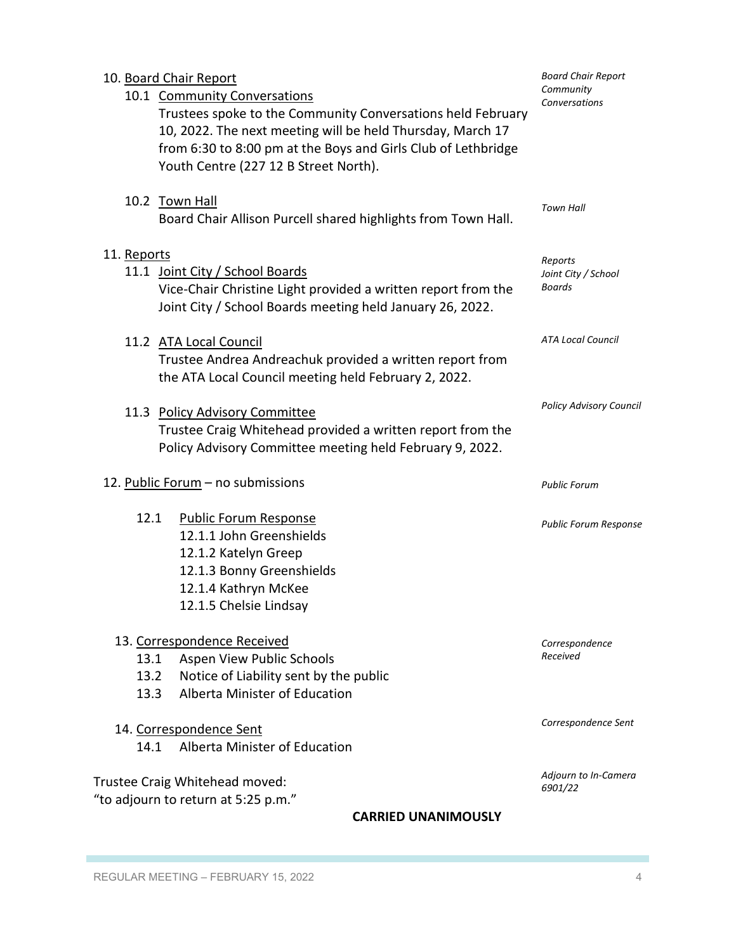| 10. Board Chair Report<br>10.1 Community Conversations<br>Trustees spoke to the Community Conversations held February<br>10, 2022. The next meeting will be held Thursday, March 17<br>from 6:30 to 8:00 pm at the Boys and Girls Club of Lethbridge<br>Youth Centre (227 12 B Street North). | Community<br>Conversations                      |
|-----------------------------------------------------------------------------------------------------------------------------------------------------------------------------------------------------------------------------------------------------------------------------------------------|-------------------------------------------------|
| 10.2 Town Hall<br>Board Chair Allison Purcell shared highlights from Town Hall.                                                                                                                                                                                                               | <b>Town Hall</b>                                |
| 11. Reports<br>11.1 Joint City / School Boards<br>Vice-Chair Christine Light provided a written report from the<br>Joint City / School Boards meeting held January 26, 2022.                                                                                                                  | Reports<br>Joint City / School<br><b>Boards</b> |
| 11.2 ATA Local Council<br>Trustee Andrea Andreachuk provided a written report from<br>the ATA Local Council meeting held February 2, 2022.                                                                                                                                                    | <b>ATA Local Council</b>                        |
| 11.3 Policy Advisory Committee<br>Trustee Craig Whitehead provided a written report from the<br>Policy Advisory Committee meeting held February 9, 2022.                                                                                                                                      | <b>Policy Advisory Council</b>                  |
| 12. Public Forum - no submissions                                                                                                                                                                                                                                                             | <b>Public Forum</b>                             |
| 12.1<br><b>Public Forum Response</b><br>12.1.1 John Greenshields<br>12.1.2 Katelyn Greep<br>12.1.3 Bonny Greenshields<br>12.1.4 Kathryn McKee<br>12.1.5 Chelsie Lindsay                                                                                                                       | <b>Public Forum Response</b>                    |
| 13. Correspondence Received<br>Aspen View Public Schools<br>13.1<br>Notice of Liability sent by the public<br>13.2<br>Alberta Minister of Education<br>13.3                                                                                                                                   | Correspondence<br>Received                      |
| 14. Correspondence Sent<br>Alberta Minister of Education<br>14.1                                                                                                                                                                                                                              | Correspondence Sent                             |
| Trustee Craig Whitehead moved:<br>"to adjourn to return at 5:25 p.m."<br><b>CARRIED UNANIMOUSLY</b>                                                                                                                                                                                           | Adjourn to In-Camera<br>6901/22                 |